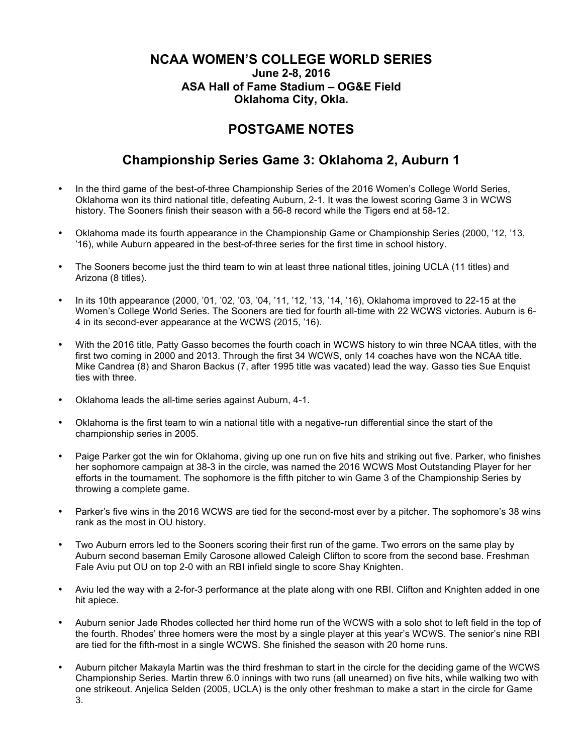## **NCAA WOMEN'S COLLEGE WORLD SERIES June 2-8, 2016 ASA Hall of Fame Stadium – OG&E Field Oklahoma City, Okla.**

## **POSTGAME NOTES**

## **Championship Series Game 3: Oklahoma 2, Auburn 1**

- In the third game of the best-of-three Championship Series of the 2016 Women's College World Series, Oklahoma won its third national title, defeating Auburn, 2-1. It was the lowest scoring Game 3 in WCWS history. The Sooners finish their season with a 56-8 record while the Tigers end at 58-12.
- Oklahoma made its fourth appearance in the Championship Game or Championship Series (2000, '12, '13, '16), while Auburn appeared in the best-of-three series for the first time in school history.
- The Sooners become just the third team to win at least three national titles, joining UCLA (11 titles) and Arizona (8 titles).
- In its 10th appearance (2000, '01, '02, '03, '04, '11, '12, '13, '14, '16), Oklahoma improved to 22-15 at the Women's College World Series. The Sooners are tied for fourth all-time with 22 WCWS victories. Auburn is 6- 4 in its second-ever appearance at the WCWS (2015, '16).
- With the 2016 title, Patty Gasso becomes the fourth coach in WCWS history to win three NCAA titles, with the first two coming in 2000 and 2013. Through the first 34 WCWS, only 14 coaches have won the NCAA title. Mike Candrea (8) and Sharon Backus (7, after 1995 title was vacated) lead the way. Gasso ties Sue Enquist ties with three.
- Oklahoma leads the all-time series against Auburn, 4-1.
- Oklahoma is the first team to win a national title with a negative-run differential since the start of the championship series in 2005.
- Paige Parker got the win for Oklahoma, giving up one run on five hits and striking out five. Parker, who finishes her sophomore campaign at 38-3 in the circle, was named the 2016 WCWS Most Outstanding Player for her efforts in the tournament. The sophomore is the fifth pitcher to win Game 3 of the Championship Series by throwing a complete game.
- Parker's five wins in the 2016 WCWS are tied for the second-most ever by a pitcher. The sophomore's 38 wins rank as the most in OU history.
- Two Auburn errors led to the Sooners scoring their first run of the game. Two errors on the same play by Auburn second baseman Emily Carosone allowed Caleigh Clifton to score from the second base. Freshman Fale Aviu put OU on top 2-0 with an RBI infield single to score Shay Knighten.
- Aviu led the way with a 2-for-3 performance at the plate along with one RBI. Clifton and Knighten added in one hit apiece.
- Auburn senior Jade Rhodes collected her third home run of the WCWS with a solo shot to left field in the top of the fourth. Rhodes' three homers were the most by a single player at this year's WCWS. The senior's nine RBI are tied for the fifth-most in a single WCWS. She finished the season with 20 home runs.
- Auburn pitcher Makayla Martin was the third freshman to start in the circle for the deciding game of the WCWS Championship Series. Martin threw 6.0 innings with two runs (all unearned) on five hits, while walking two with one strikeout. Anjelica Selden (2005, UCLA) is the only other freshman to make a start in the circle for Game 3.